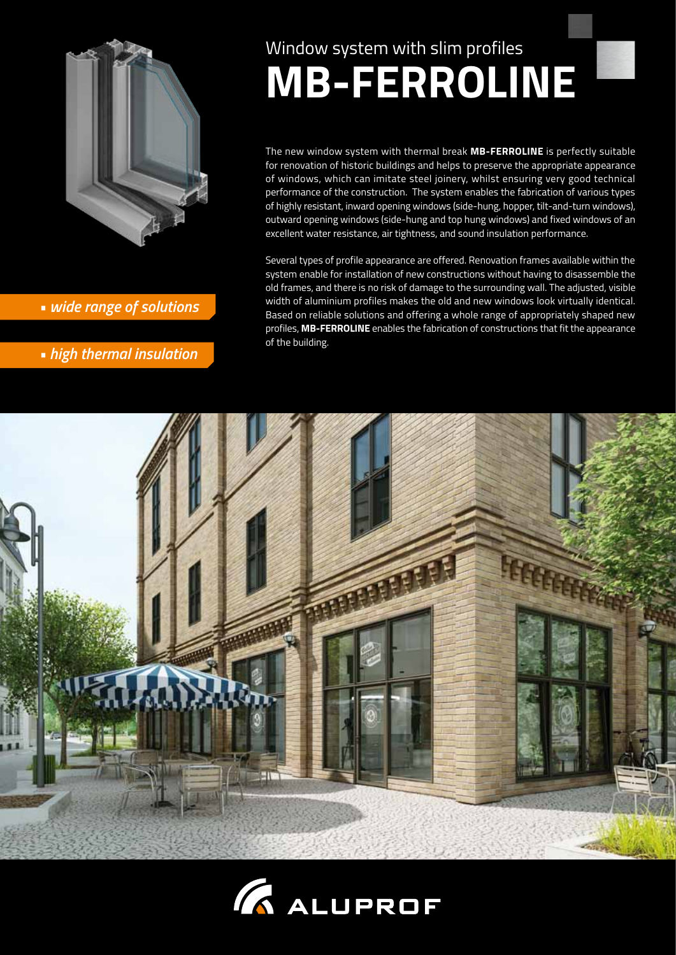

*• wide range of solutions*

*• high thermal insulation*

# Window system with slim profiles



# **MB-FERROLINE**

The new window system with thermal break **MB-FERROLINE** is perfectly suitable for renovation of historic buildings and helps to preserve the appropriate appearance of windows, which can imitate steel joinery, whilst ensuring very good technical performance of the construction. The system enables the fabrication of various types of highly resistant, inward opening windows (side-hung, hopper, tilt-and-turn windows), outward opening windows (side-hung and top hung windows) and fixed windows of an excellent water resistance, air tightness, and sound insulation performance.

Several types of profile appearance are offered. Renovation frames available within the system enable for installation of new constructions without having to disassemble the old frames, and there is no risk of damage to the surrounding wall. The adjusted, visible width of aluminium profiles makes the old and new windows look virtually identical. Based on reliable solutions and offering a whole range of appropriately shaped new profiles, **MB-FERROLINE** enables the fabrication of constructions that fit the appearance of the building.